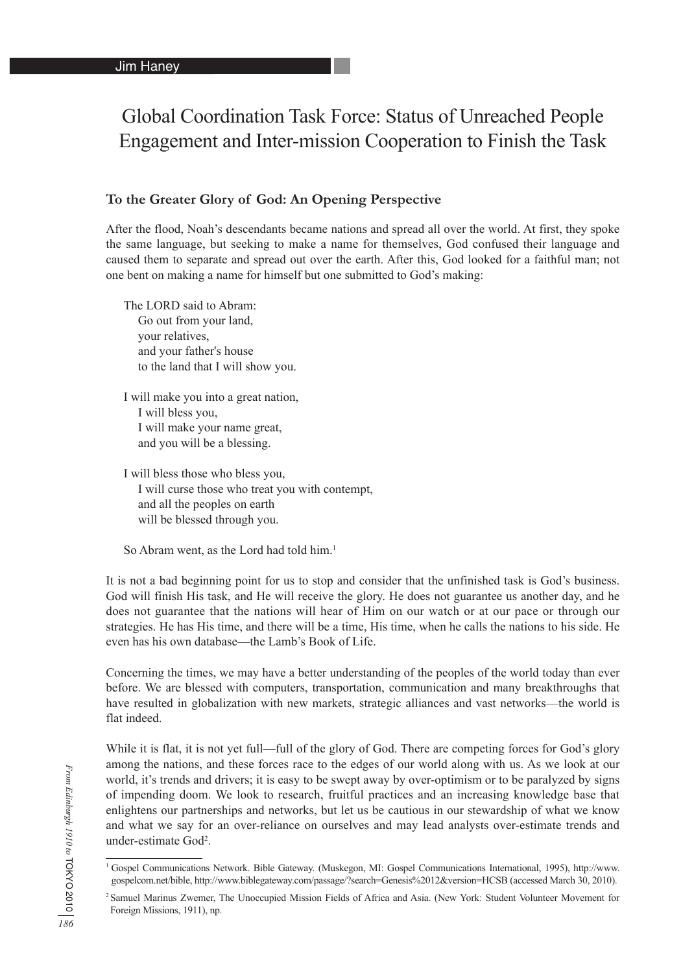# Global Coordination Task Force: Status of Unreached People Engagement and Inter-mission Cooperation to Finish the Task

#### **To the Greater Glory of God: An Opening Perspective**

After the flood, Noah's descendants became nations and spread all over the world. At first, they spoke the same language, but seeking to make a name for themselves, God confused their language and caused them to separate and spread out over the earth. After this, God looked for a faithful man; not one bent on making a name for himself but one submitted to God's making:

The LORD said to Abram: Go out from your land, your relatives, and your father's house to the land that I will show you.

I will make you into a great nation, I will bless you, I will make your name great, and you will be a blessing.

I will bless those who bless you, I will curse those who treat you with contempt, and all the peoples on earth will be blessed through you.

So Abram went, as the Lord had told him.<sup>1</sup>

It is not a bad beginning point for us to stop and consider that the unfinished task is God's business. God will finish His task, and He will receive the glory. He does not guarantee us another day, and he does not guarantee that the nations will hear of Him on our watch or at our pace or through our strategies. He has His time, and there will be a time, His time, when he calls the nations to his side. He even has his own database—the Lamb's Book of Life.

Concerning the times, we may have a better understanding of the peoples of the world today than ever before. We are blessed with computers, transportation, communication and many breakthroughs that have resulted in globalization with new markets, strategic alliances and vast networks—the world is flat indeed.

While it is flat, it is not yet full—full of the glory of God. There are competing forces for God's glory among the nations, and these forces race to the edges of our world along with us. As we look at our world, it's trends and drivers; it is easy to be swept away by over-optimism or to be paralyzed by signs of impending doom. We look to research, fruitful practices and an increasing knowledge base that enlightens our partnerships and networks, but let us be cautious in our stewardship of what we know and what we say for an over-reliance on ourselves and may lead analysts over-estimate trends and under-estimate God<sup>2</sup>.

<sup>1</sup> Gospel Communications Network. Bible Gateway. (Muskegon, MI: Gospel Communications International, 1995), http://www. gospelcom.net/bible, http://www.biblegateway.com/passage/?search=Genesis%2012&version=HCSB (accessed March 30, 2010).

<sup>2</sup> Samuel Marinus Zwemer, The Unoccupied Mission Fields of Africa and Asia. (New York: Student Volunteer Movement for Foreign Missions, 1911), np.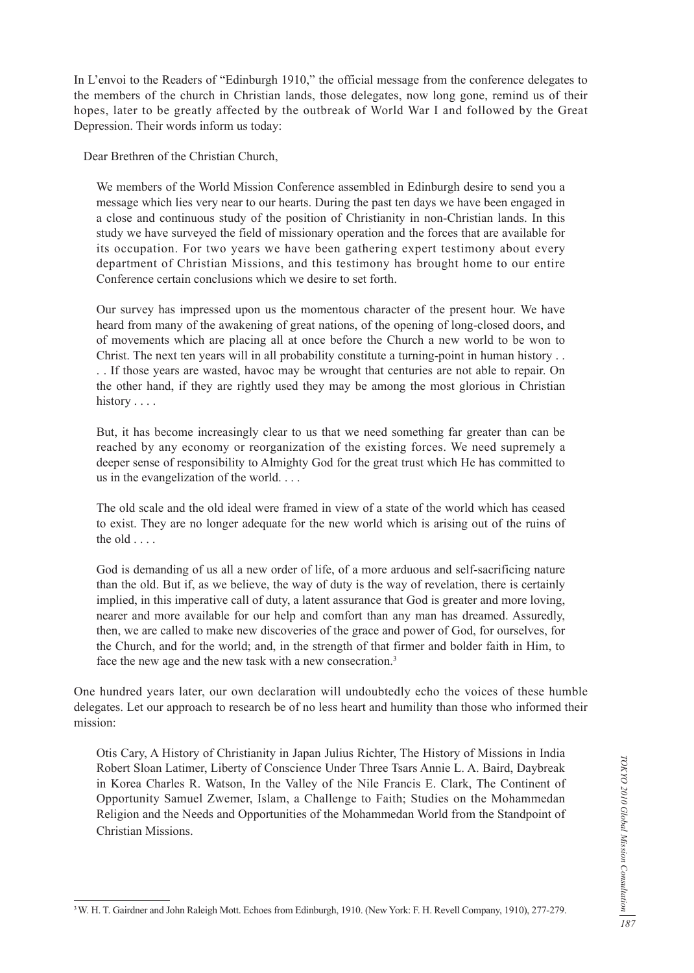In L'envoi to the Readers of "Edinburgh 1910," the official message from the conference delegates to the members of the church in Christian lands, those delegates, now long gone, remind us of their hopes, later to be greatly affected by the outbreak of World War I and followed by the Great Depression. Their words inform us today:

Dear Brethren of the Christian Church,

We members of the World Mission Conference assembled in Edinburgh desire to send you a message which lies very near to our hearts. During the past ten days we have been engaged in a close and continuous study of the position of Christianity in non-Christian lands. In this study we have surveyed the field of missionary operation and the forces that are available for its occupation. For two years we have been gathering expert testimony about every department of Christian Missions, and this testimony has brought home to our entire Conference certain conclusions which we desire to set forth.

Our survey has impressed upon us the momentous character of the present hour. We have heard from many of the awakening of great nations, of the opening of long-closed doors, and of movements which are placing all at once before the Church a new world to be won to Christ. The next ten years will in all probability constitute a turning-point in human history . . . . If those years are wasted, havoc may be wrought that centuries are not able to repair. On the other hand, if they are rightly used they may be among the most glorious in Christian history . . . .

But, it has become increasingly clear to us that we need something far greater than can be reached by any economy or reorganization of the existing forces. We need supremely a deeper sense of responsibility to Almighty God for the great trust which He has committed to us in the evangelization of the world. . . .

The old scale and the old ideal were framed in view of a state of the world which has ceased to exist. They are no longer adequate for the new world which is arising out of the ruins of the old . . . .

God is demanding of us all a new order of life, of a more arduous and self-sacrificing nature than the old. But if, as we believe, the way of duty is the way of revelation, there is certainly implied, in this imperative call of duty, a latent assurance that God is greater and more loving, nearer and more available for our help and comfort than any man has dreamed. Assuredly, then, we are called to make new discoveries of the grace and power of God, for ourselves, for the Church, and for the world; and, in the strength of that firmer and bolder faith in Him, to face the new age and the new task with a new consecration.<sup>3</sup>

One hundred years later, our own declaration will undoubtedly echo the voices of these humble delegates. Let our approach to research be of no less heart and humility than those who informed their mission:

Otis Cary, A History of Christianity in Japan Julius Richter, The History of Missions in India Robert Sloan Latimer, Liberty of Conscience Under Three Tsars Annie L. A. Baird, Daybreak in Korea Charles R. Watson, In the Valley of the Nile Francis E. Clark, The Continent of Opportunity Samuel Zwemer, Islam, a Challenge to Faith; Studies on the Mohammedan Religion and the Needs and Opportunities of the Mohammedan World from the Standpoint of Christian Missions.

<sup>3</sup> W. H. T. Gairdner and John Raleigh Mott. Echoes from Edinburgh, 1910. (New York: F. H. Revell Company, 1910), 277-279.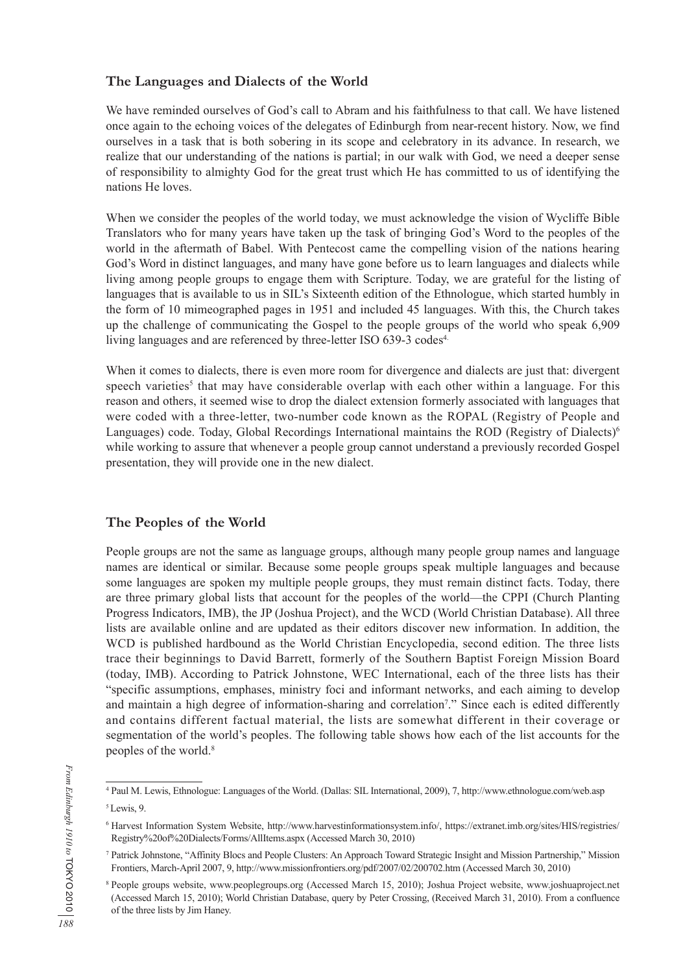## **The Languages and Dialects of the World**

We have reminded ourselves of God's call to Abram and his faithfulness to that call. We have listened once again to the echoing voices of the delegates of Edinburgh from near-recent history. Now, we find ourselves in a task that is both sobering in its scope and celebratory in its advance. In research, we realize that our understanding of the nations is partial; in our walk with God, we need a deeper sense of responsibility to almighty God for the great trust which He has committed to us of identifying the nations He loves.

When we consider the peoples of the world today, we must acknowledge the vision of Wycliffe Bible Translators who for many years have taken up the task of bringing God's Word to the peoples of the world in the aftermath of Babel. With Pentecost came the compelling vision of the nations hearing God's Word in distinct languages, and many have gone before us to learn languages and dialects while living among people groups to engage them with Scripture. Today, we are grateful for the listing of languages that is available to us in SIL's Sixteenth edition of the Ethnologue, which started humbly in the form of 10 mimeographed pages in 1951 and included 45 languages. With this, the Church takes up the challenge of communicating the Gospel to the people groups of the world who speak 6,909 living languages and are referenced by three-letter ISO 639-3 codes<sup>4.</sup>

When it comes to dialects, there is even more room for divergence and dialects are just that: divergent speech varieties<sup>5</sup> that may have considerable overlap with each other within a language. For this reason and others, it seemed wise to drop the dialect extension formerly associated with languages that were coded with a three-letter, two-number code known as the ROPAL (Registry of People and Languages) code. Today, Global Recordings International maintains the ROD (Registry of Dialects)<sup>6</sup> while working to assure that whenever a people group cannot understand a previously recorded Gospel presentation, they will provide one in the new dialect.

### **The Peoples of the World**

People groups are not the same as language groups, although many people group names and language names are identical or similar. Because some people groups speak multiple languages and because some languages are spoken my multiple people groups, they must remain distinct facts. Today, there are three primary global lists that account for the peoples of the world—the CPPI (Church Planting Progress Indicators, IMB), the JP (Joshua Project), and the WCD (World Christian Database). All three lists are available online and are updated as their editors discover new information. In addition, the WCD is published hardbound as the World Christian Encyclopedia, second edition. The three lists trace their beginnings to David Barrett, formerly of the Southern Baptist Foreign Mission Board (today, IMB). According to Patrick Johnstone, WEC International, each of the three lists has their "specific assumptions, emphases, ministry foci and informant networks, and each aiming to develop and maintain a high degree of information-sharing and correlation<sup>7</sup>." Since each is edited differently and contains different factual material, the lists are somewhat different in their coverage or segmentation of the world's peoples. The following table shows how each of the list accounts for the peoples of the world.<sup>8</sup>

<sup>4</sup> Paul M. Lewis, Ethnologue: Languages of the World. (Dallas: SIL International, 2009), 7, http://www.ethnologue.com/web.asp 5 Lewis, 9.

<sup>6</sup> Harvest Information System Website, http://www.harvestinformationsystem.info/, https://extranet.imb.org/sites/HIS/registries/ Registry%20of%20Dialects/Forms/AllItems.aspx (Accessed March 30, 2010)

<sup>7</sup> Patrick Johnstone, "Affinity Blocs and People Clusters: An Approach Toward Strategic Insight and Mission Partnership," Mission Frontiers, March-April 2007, 9, http://www.missionfrontiers.org/pdf/2007/02/200702.htm (Accessed March 30, 2010)

<sup>8</sup> People groups website, www.peoplegroups.org (Accessed March 15, 2010); Joshua Project website, www.joshuaproject.net (Accessed March 15, 2010); World Christian Database, query by Peter Crossing, (Received March 31, 2010). From a confluence of the three lists by Jim Haney.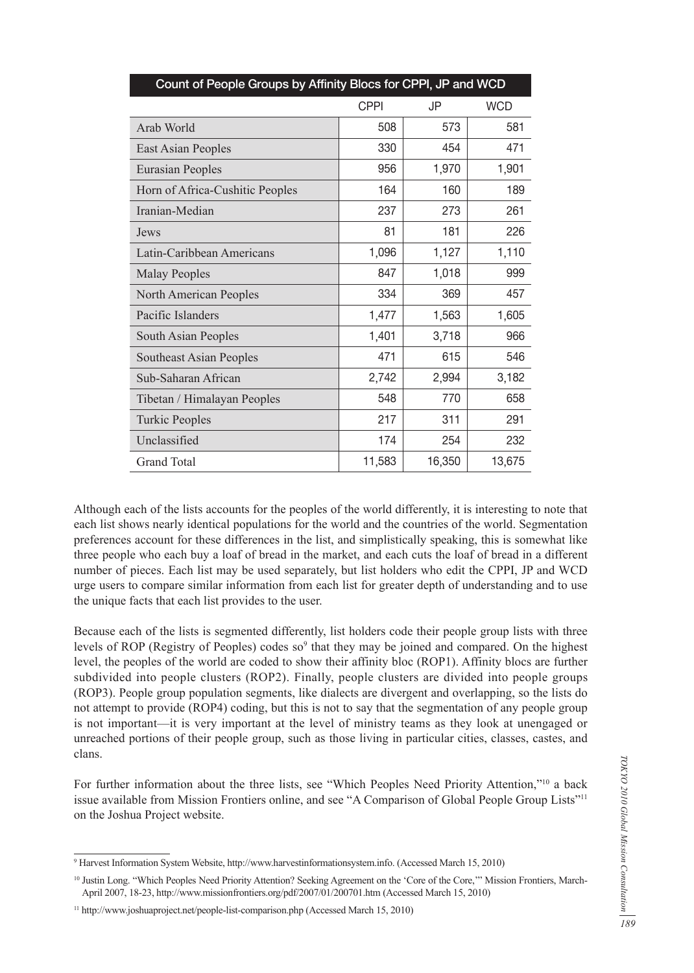| Count of People Groups by Affinity Blocs for CPPI, JP and WCD |             |        |            |  |
|---------------------------------------------------------------|-------------|--------|------------|--|
|                                                               | <b>CPPI</b> | JP     | <b>WCD</b> |  |
| Arab World                                                    | 508         | 573    | 581        |  |
| <b>East Asian Peoples</b>                                     | 330         | 454    | 471        |  |
| <b>Eurasian Peoples</b>                                       | 956         | 1,970  | 1,901      |  |
| Horn of Africa-Cushitic Peoples                               | 164         | 160    | 189        |  |
| Iranian-Median                                                | 237         | 273    | 261        |  |
| Jews                                                          | 81          | 181    | 226        |  |
| Latin-Caribbean Americans                                     | 1,096       | 1,127  | 1,110      |  |
| <b>Malay Peoples</b>                                          | 847         | 1,018  | 999        |  |
| North American Peoples                                        | 334         | 369    | 457        |  |
| Pacific Islanders                                             | 1,477       | 1,563  | 1,605      |  |
| South Asian Peoples                                           | 1,401       | 3,718  | 966        |  |
| <b>Southeast Asian Peoples</b>                                | 471         | 615    | 546        |  |
| Sub-Saharan African                                           | 2,742       | 2,994  | 3,182      |  |
| Tibetan / Himalayan Peoples                                   | 548         | 770    | 658        |  |
| <b>Turkic Peoples</b>                                         | 217         | 311    | 291        |  |
| Unclassified                                                  | 174         | 254    | 232        |  |
| <b>Grand Total</b>                                            | 11,583      | 16,350 | 13,675     |  |

Although each of the lists accounts for the peoples of the world differently, it is interesting to note that each list shows nearly identical populations for the world and the countries of the world. Segmentation preferences account for these differences in the list, and simplistically speaking, this is somewhat like three people who each buy a loaf of bread in the market, and each cuts the loaf of bread in a different number of pieces. Each list may be used separately, but list holders who edit the CPPI, JP and WCD urge users to compare similar information from each list for greater depth of understanding and to use the unique facts that each list provides to the user.

Because each of the lists is segmented differently, list holders code their people group lists with three levels of ROP (Registry of Peoples) codes so<sup>9</sup> that they may be joined and compared. On the highest level, the peoples of the world are coded to show their affinity bloc (ROP1). Affinity blocs are further subdivided into people clusters (ROP2). Finally, people clusters are divided into people groups (ROP3). People group population segments, like dialects are divergent and overlapping, so the lists do not attempt to provide (ROP4) coding, but this is not to say that the segmentation of any people group is not important—it is very important at the level of ministry teams as they look at unengaged or unreached portions of their people group, such as those living in particular cities, classes, castes, and clans.

For further information about the three lists, see "Which Peoples Need Priority Attention,"<sup>10</sup> a back issue available from Mission Frontiers online, and see "A Comparison of Global People Group Lists"<sup>11</sup> on the Joshua Project website.

<sup>9</sup> Harvest Information System Website, http://www.harvestinformationsystem.info. (Accessed March 15, 2010)

<sup>10</sup> Justin Long. "Which Peoples Need Priority Attention? Seeking Agreement on the 'Core of the Core,'" Mission Frontiers, March-April 2007, 18-23, http://www.missionfrontiers.org/pdf/2007/01/200701.htm (Accessed March 15, 2010)

<sup>11</sup> http://www.joshuaproject.net/people-list-comparison.php (Accessed March 15, 2010)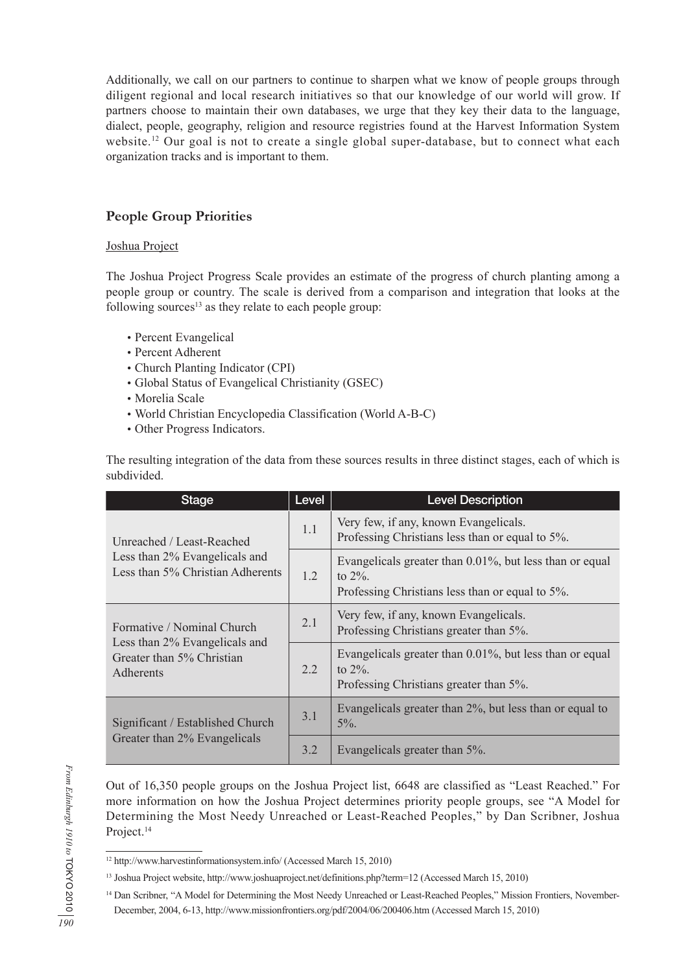Additionally, we call on our partners to continue to sharpen what we know of people groups through diligent regional and local research initiatives so that our knowledge of our world will grow. If partners choose to maintain their own databases, we urge that they key their data to the language, dialect, people, geography, religion and resource registries found at the Harvest Information System website.12 Our goal is not to create a single global super-database, but to connect what each organization tracks and is important to them.

## **People Group Priorities**

#### Joshua Project

The Joshua Project Progress Scale provides an estimate of the progress of church planting among a people group or country. The scale is derived from a comparison and integration that looks at the following sources<sup>13</sup> as they relate to each people group:

- •Percent Evangelical
- •Percent Adherent
- •Church Planting Indicator (CPI)
- •Global Status of Evangelical Christianity (GSEC)
- •Morelia Scale
- •World Christian Encyclopedia Classification (World A-B-C)
- •Other Progress Indicators.

The resulting integration of the data from these sources results in three distinct stages, each of which is subdivided.

| <b>Stage</b>                                                                                                 | Level | <b>Level Description</b>                                                                                                 |  |
|--------------------------------------------------------------------------------------------------------------|-------|--------------------------------------------------------------------------------------------------------------------------|--|
| Unreached / Least-Reached<br>Less than 2% Evangelicals and<br>Less than 5% Christian Adherents               | 1.1   | Very few, if any, known Evangelicals.<br>Professing Christians less than or equal to 5%.                                 |  |
|                                                                                                              | 1.2   | Evangelicals greater than 0.01%, but less than or equal<br>to $2\%$ .<br>Professing Christians less than or equal to 5%. |  |
| Formative / Nominal Church<br>Less than 2% Evangelicals and<br>Greater than 5% Christian<br><b>Adherents</b> | 2.1   | Very few, if any, known Evangelicals.<br>Professing Christians greater than 5%.                                          |  |
|                                                                                                              | 2.2   | Evangelicals greater than 0.01%, but less than or equal<br>to $2\%$ .<br>Professing Christians greater than 5%.          |  |
| Significant / Established Church<br>Greater than 2% Evangelicals                                             | 3.1   | Evangelicals greater than 2%, but less than or equal to<br>$5\%$ .                                                       |  |
|                                                                                                              | 3.2   | Evangelicals greater than 5%.                                                                                            |  |

Out of 16,350 people groups on the Joshua Project list, 6648 are classified as "Least Reached." For more information on how the Joshua Project determines priority people groups, see "A Model for Determining the Most Needy Unreached or Least-Reached Peoples," by Dan Scribner, Joshua Project.<sup>14</sup>

<sup>12</sup> http://www.harvestinformationsystem.info/ (Accessed March 15, 2010)

<sup>13</sup> Joshua Project website, http://www.joshuaproject.net/definitions.php?term=12 (Accessed March 15, 2010)

<sup>&</sup>lt;sup>14</sup> Dan Scribner, "A Model for Determining the Most Needy Unreached or Least-Reached Peoples," Mission Frontiers, November-December, 2004, 6-13, http://www.missionfrontiers.org/pdf/2004/06/200406.htm (Accessed March 15, 2010)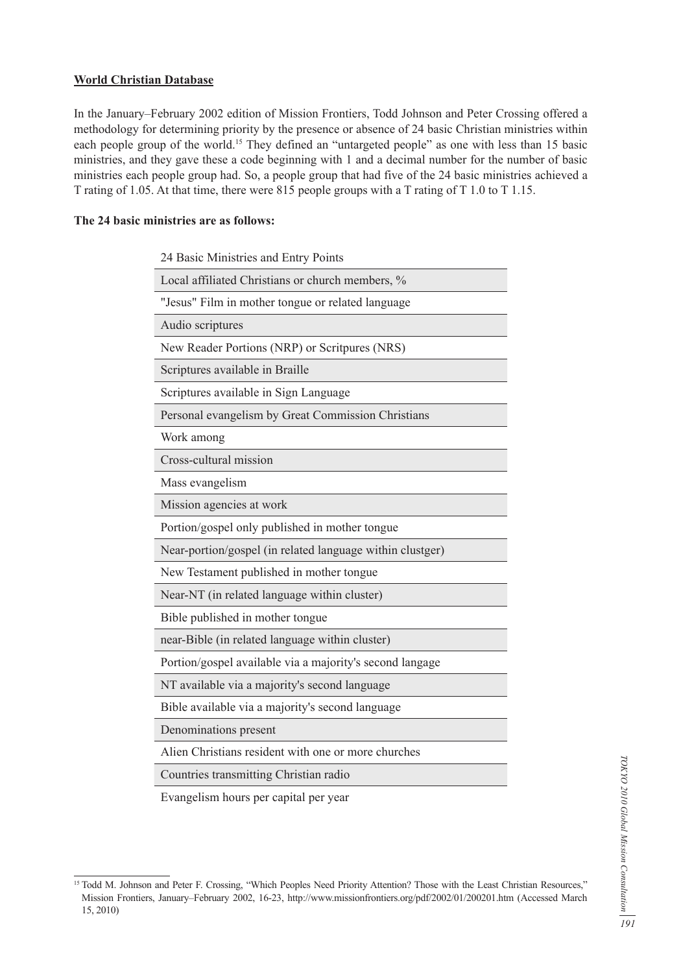#### **World Christian Database**

In the January–February 2002 edition of Mission Frontiers, Todd Johnson and Peter Crossing offered a methodology for determining priority by the presence or absence of 24 basic Christian ministries within each people group of the world.<sup>15</sup> They defined an "untargeted people" as one with less than 15 basic ministries, and they gave these a code beginning with 1 and a decimal number for the number of basic ministries each people group had. So, a people group that had five of the 24 basic ministries achieved a T rating of 1.05. At that time, there were 815 people groups with a T rating of T 1.0 to T 1.15.

#### **The 24 basic ministries are as follows:**

| 24 Basic Ministries and Entry Points                      |
|-----------------------------------------------------------|
| Local affiliated Christians or church members, %          |
| "Jesus" Film in mother tongue or related language         |
| Audio scriptures                                          |
| New Reader Portions (NRP) or Scritpures (NRS)             |
| Scriptures available in Braille                           |
| Scriptures available in Sign Language                     |
| Personal evangelism by Great Commission Christians        |
| Work among                                                |
| Cross-cultural mission                                    |
| Mass evangelism                                           |
| Mission agencies at work                                  |
| Portion/gospel only published in mother tongue            |
| Near-portion/gospel (in related language within clustger) |
| New Testament published in mother tongue                  |
| Near-NT (in related language within cluster)              |
| Bible published in mother tongue                          |
| near-Bible (in related language within cluster)           |
| Portion/gospel available via a majority's second langage  |
| NT available via a majority's second language             |
| Bible available via a majority's second language          |
| Denominations present                                     |
| Alien Christians resident with one or more churches       |
| Countries transmitting Christian radio                    |

Evangelism hours per capital per year

<sup>&</sup>lt;sup>15</sup> Todd M. Johnson and Peter F. Crossing, "Which Peoples Need Priority Attention? Those with the Least Christian Resources," Mission Frontiers, January–February 2002, 16-23, http://www.missionfrontiers.org/pdf/2002/01/200201.htm (Accessed March 15, 2010)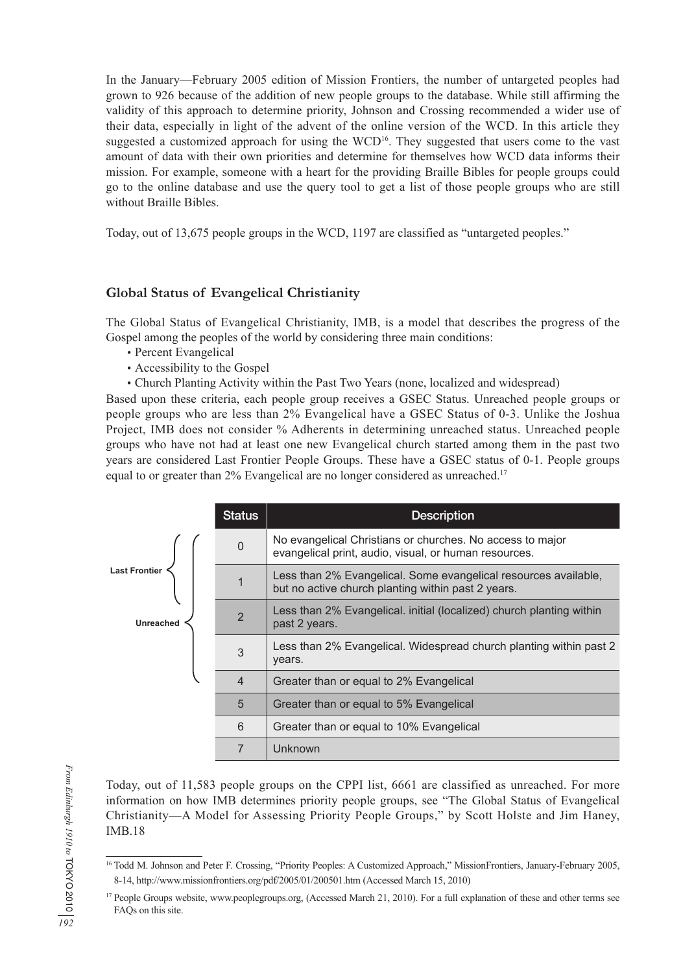In the January—February 2005 edition of Mission Frontiers, the number of untargeted peoples had grown to 926 because of the addition of new people groups to the database. While still affirming the validity of this approach to determine priority, Johnson and Crossing recommended a wider use of their data, especially in light of the advent of the online version of the WCD. In this article they suggested a customized approach for using the WCD<sup>16</sup>. They suggested that users come to the vast amount of data with their own priorities and determine for themselves how WCD data informs their mission. For example, someone with a heart for the providing Braille Bibles for people groups could go to the online database and use the query tool to get a list of those people groups who are still without Braille Bibles.

Today, out of 13,675 people groups in the WCD, 1197 are classified as "untargeted peoples."

### **Global Status of Evangelical Christianity**

The Global Status of Evangelical Christianity, IMB, is a model that describes the progress of the Gospel among the peoples of the world by considering three main conditions:

- •Percent Evangelical
- •Accessibility to the Gospel
- •Church Planting Activity within the Past Two Years (none, localized and widespread)

Based upon these criteria, each people group receives a GSEC Status. Unreached people groups or people groups who are less than 2% Evangelical have a GSEC Status of 0-3. Unlike the Joshua Project, IMB does not consider % Adherents in determining unreached status. Unreached people groups who have not had at least one new Evangelical church started among them in the past two years are considered Last Frontier People Groups. These have a GSEC status of 0-1. People groups equal to or greater than 2% Evangelical are no longer considered as unreached.<sup>17</sup>

|                      | <b>Status</b>  | <b>Description</b>                                                                                                    |  |  |
|----------------------|----------------|-----------------------------------------------------------------------------------------------------------------------|--|--|
|                      | $\mathbf 0$    | No evangelical Christians or churches. No access to major<br>evangelical print, audio, visual, or human resources.    |  |  |
| <b>Last Frontier</b> | 1              | Less than 2% Evangelical. Some evangelical resources available,<br>but no active church planting within past 2 years. |  |  |
| <b>Unreached</b>     | $\overline{2}$ | Less than 2% Evangelical. initial (localized) church planting within<br>past 2 years.                                 |  |  |
|                      | 3              | Less than 2% Evangelical. Widespread church planting within past 2<br>years.                                          |  |  |
|                      | $\overline{4}$ | Greater than or equal to 2% Evangelical                                                                               |  |  |
|                      | 5              | Greater than or equal to 5% Evangelical                                                                               |  |  |
|                      | 6              | Greater than or equal to 10% Evangelical                                                                              |  |  |
|                      | 7              | Unknown                                                                                                               |  |  |

Today, out of 11,583 people groups on the CPPI list, 6661 are classified as unreached. For more information on how IMB determines priority people groups, see "The Global Status of Evangelical Christianity—A Model for Assessing Priority People Groups," by Scott Holste and Jim Haney, IMB.18

<sup>&</sup>lt;sup>16</sup> Todd M. Johnson and Peter F. Crossing, "Priority Peoples: A Customized Approach," MissionFrontiers, January-February 2005, 8-14, http://www.missionfrontiers.org/pdf/2005/01/200501.htm (Accessed March 15, 2010)

<sup>&</sup>lt;sup>17</sup> People Groups website, www.peoplegroups.org, (Accessed March 21, 2010). For a full explanation of these and other terms see FAQs on this site.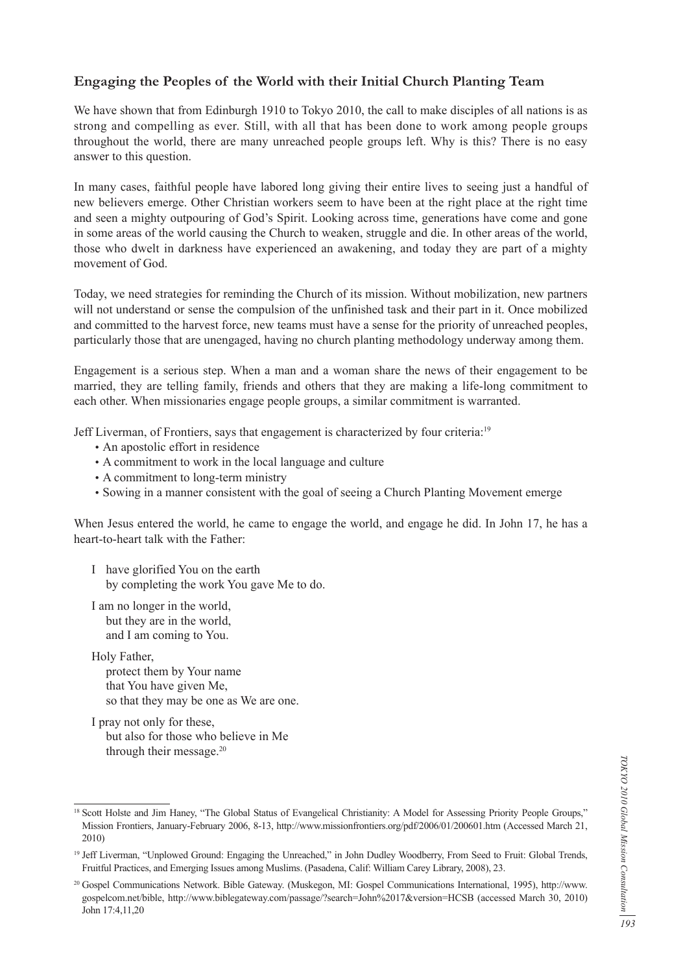## **Engaging the Peoples of the World with their Initial Church Planting Team**

We have shown that from Edinburgh 1910 to Tokyo 2010, the call to make disciples of all nations is as strong and compelling as ever. Still, with all that has been done to work among people groups throughout the world, there are many unreached people groups left. Why is this? There is no easy answer to this question.

In many cases, faithful people have labored long giving their entire lives to seeing just a handful of new believers emerge. Other Christian workers seem to have been at the right place at the right time and seen a mighty outpouring of God's Spirit. Looking across time, generations have come and gone in some areas of the world causing the Church to weaken, struggle and die. In other areas of the world, those who dwelt in darkness have experienced an awakening, and today they are part of a mighty movement of God.

Today, we need strategies for reminding the Church of its mission. Without mobilization, new partners will not understand or sense the compulsion of the unfinished task and their part in it. Once mobilized and committed to the harvest force, new teams must have a sense for the priority of unreached peoples, particularly those that are unengaged, having no church planting methodology underway among them.

Engagement is a serious step. When a man and a woman share the news of their engagement to be married, they are telling family, friends and others that they are making a life-long commitment to each other. When missionaries engage people groups, a similar commitment is warranted.

Jeff Liverman, of Frontiers, says that engagement is characterized by four criteria:19

- •An apostolic effort in residence
- •A commitment to work in the local language and culture
- •A commitment to long-term ministry
- •Sowing in a manner consistent with the goal of seeing a Church Planting Movement emerge

When Jesus entered the world, he came to engage the world, and engage he did. In John 17, he has a heart-to-heart talk with the Father:

- I have glorified You on the earth by completing the work You gave Me to do.
- I am no longer in the world, but they are in the world, and I am coming to You.

Holy Father, protect them by Your name that You have given Me, so that they may be one as We are one.

I pray not only for these, but also for those who believe in Me through their message.<sup>20</sup>

<sup>&</sup>lt;sup>18</sup> Scott Holste and Jim Haney, "The Global Status of Evangelical Christianity: A Model for Assessing Priority People Groups," Mission Frontiers, January-February 2006, 8-13, http://www.missionfrontiers.org/pdf/2006/01/200601.htm (Accessed March 21, 2010)

<sup>&</sup>lt;sup>19</sup> Jeff Liverman, "Unplowed Ground: Engaging the Unreached," in John Dudley Woodberry, From Seed to Fruit: Global Trends, Fruitful Practices, and Emerging Issues among Muslims. (Pasadena, Calif: William Carey Library, 2008), 23.

<sup>20</sup> Gospel Communications Network. Bible Gateway. (Muskegon, MI: Gospel Communications International, 1995), http://www. gospelcom.net/bible, http://www.biblegateway.com/passage/?search=John%2017&version=HCSB (accessed March 30, 2010) John 17:4,11,20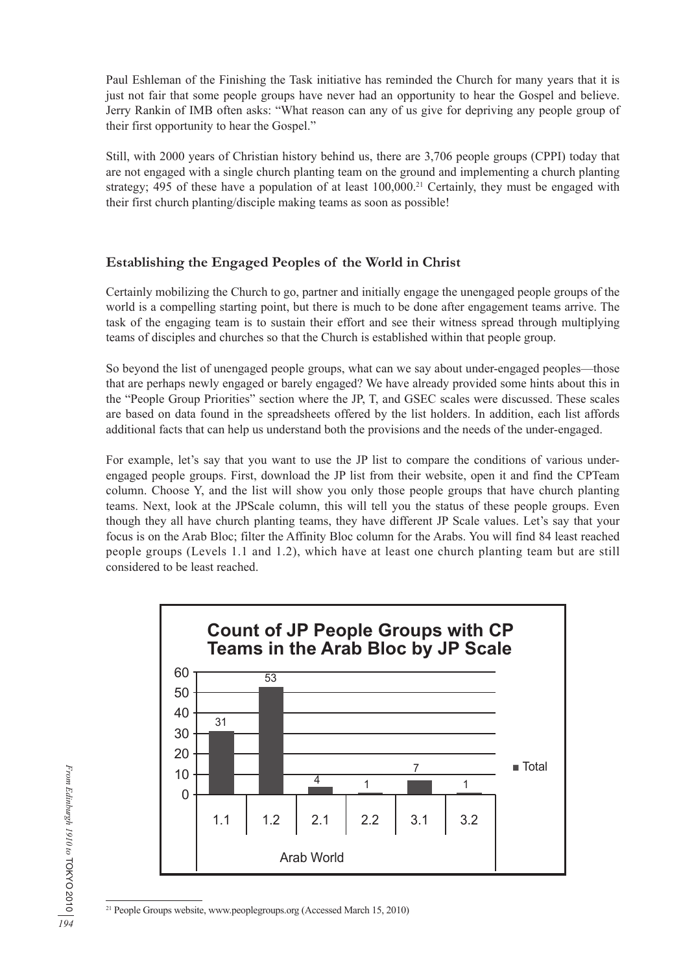Paul Eshleman of the Finishing the Task initiative has reminded the Church for many years that it is just not fair that some people groups have never had an opportunity to hear the Gospel and believe. Jerry Rankin of IMB often asks: "What reason can any of us give for depriving any people group of their first opportunity to hear the Gospel."

Still, with 2000 years of Christian history behind us, there are 3,706 people groups (CPPI) today that are not engaged with a single church planting team on the ground and implementing a church planting strategy; 495 of these have a population of at least 100,000.<sup>21</sup> Certainly, they must be engaged with their first church planting/disciple making teams as soon as possible!

### **Establishing the Engaged Peoples of the World in Christ**

Certainly mobilizing the Church to go, partner and initially engage the unengaged people groups of the world is a compelling starting point, but there is much to be done after engagement teams arrive. The task of the engaging team is to sustain their effort and see their witness spread through multiplying teams of disciples and churches so that the Church is established within that people group.

So beyond the list of unengaged people groups, what can we say about under-engaged peoples—those that are perhaps newly engaged or barely engaged? We have already provided some hints about this in the "People Group Priorities" section where the JP, T, and GSEC scales were discussed. These scales are based on data found in the spreadsheets offered by the list holders. In addition, each list affords additional facts that can help us understand both the provisions and the needs of the under-engaged.

For example, let's say that you want to use the JP list to compare the conditions of various underengaged people groups. First, download the JP list from their website, open it and find the CPTeam column. Choose Y, and the list will show you only those people groups that have church planting teams. Next, look at the JPScale column, this will tell you the status of these people groups. Even though they all have church planting teams, they have different JP Scale values. Let's say that your focus is on the Arab Bloc; filter the Affinity Bloc column for the Arabs. You will find 84 least reached people groups (Levels 1.1 and 1.2), which have at least one church planting team but are still considered to be least reached.

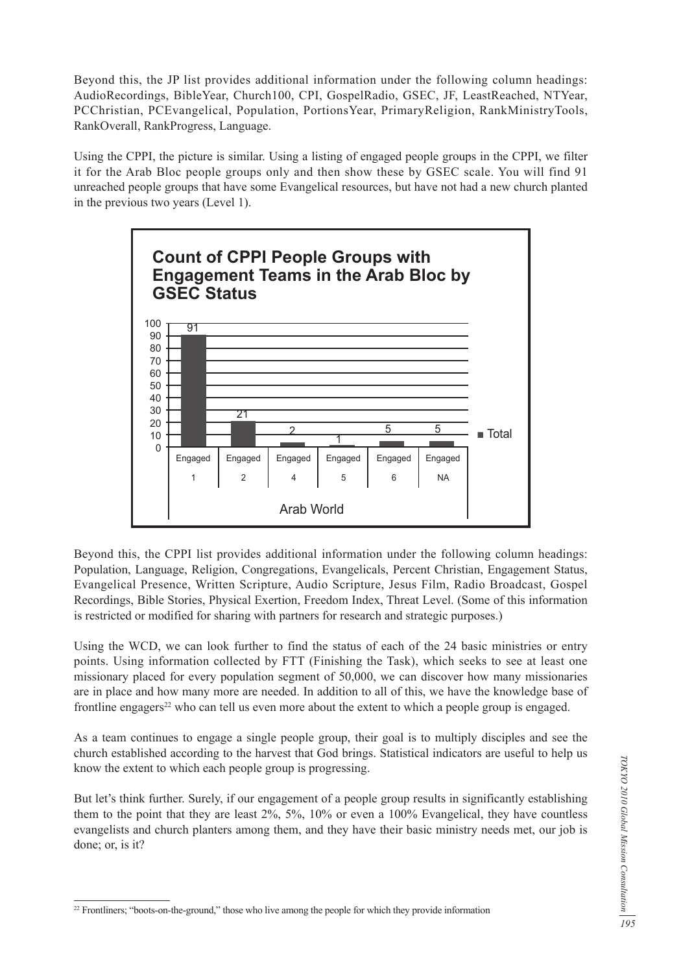Beyond this, the JP list provides additional information under the following column headings: AudioRecordings, BibleYear, Church100, CPI, GospelRadio, GSEC, JF, LeastReached, NTYear, PCChristian, PCEvangelical, Population, PortionsYear, PrimaryReligion, RankMinistryTools, RankOverall, RankProgress, Language.

Using the CPPI, the picture is similar. Using a listing of engaged people groups in the CPPI, we filter it for the Arab Bloc people groups only and then show these by GSEC scale. You will find 91 unreached people groups that have some Evangelical resources, but have not had a new church planted in the previous two years (Level 1).



Beyond this, the CPPI list provides additional information under the following column headings: Population, Language, Religion, Congregations, Evangelicals, Percent Christian, Engagement Status, Evangelical Presence, Written Scripture, Audio Scripture, Jesus Film, Radio Broadcast, Gospel Recordings, Bible Stories, Physical Exertion, Freedom Index, Threat Level. (Some of this information is restricted or modified for sharing with partners for research and strategic purposes.)

Using the WCD, we can look further to find the status of each of the 24 basic ministries or entry points. Using information collected by FTT (Finishing the Task), which seeks to see at least one missionary placed for every population segment of 50,000, we can discover how many missionaries are in place and how many more are needed. In addition to all of this, we have the knowledge base of frontline engagers<sup>22</sup> who can tell us even more about the extent to which a people group is engaged.

As a team continues to engage a single people group, their goal is to multiply disciples and see the church established according to the harvest that God brings. Statistical indicators are useful to help us know the extent to which each people group is progressing.

But let's think further. Surely, if our engagement of a people group results in significantly establishing them to the point that they are least 2%, 5%, 10% or even a 100% Evangelical, they have countless evangelists and church planters among them, and they have their basic ministry needs met, our job is done; or, is it?

<sup>&</sup>lt;sup>22</sup> Frontliners; "boots-on-the-ground," those who live among the people for which they provide information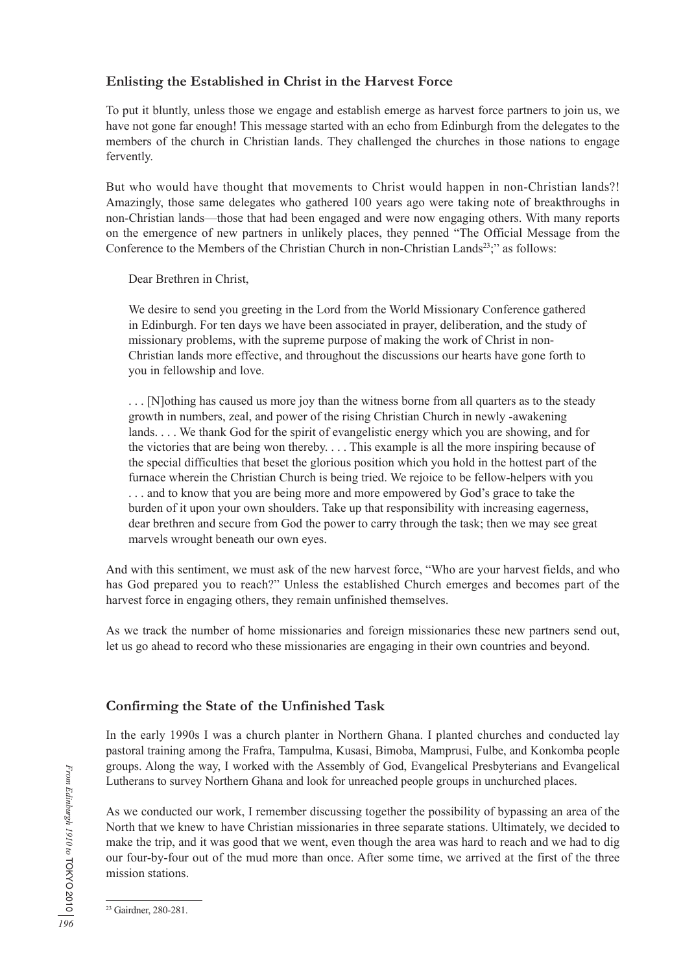#### **Enlisting the Established in Christ in the Harvest Force**

To put it bluntly, unless those we engage and establish emerge as harvest force partners to join us, we have not gone far enough! This message started with an echo from Edinburgh from the delegates to the members of the church in Christian lands. They challenged the churches in those nations to engage fervently.

But who would have thought that movements to Christ would happen in non-Christian lands?! Amazingly, those same delegates who gathered 100 years ago were taking note of breakthroughs in non-Christian lands—those that had been engaged and were now engaging others. With many reports on the emergence of new partners in unlikely places, they penned "The Official Message from the Conference to the Members of the Christian Church in non-Christian Lands<sup>23</sup>;" as follows:

Dear Brethren in Christ,

We desire to send you greeting in the Lord from the World Missionary Conference gathered in Edinburgh. For ten days we have been associated in prayer, deliberation, and the study of missionary problems, with the supreme purpose of making the work of Christ in non-Christian lands more effective, and throughout the discussions our hearts have gone forth to you in fellowship and love.

. . . [N]othing has caused us more joy than the witness borne from all quarters as to the steady growth in numbers, zeal, and power of the rising Christian Church in newly -awakening lands. . . . We thank God for the spirit of evangelistic energy which you are showing, and for the victories that are being won thereby. . . . This example is all the more inspiring because of the special difficulties that beset the glorious position which you hold in the hottest part of the furnace wherein the Christian Church is being tried. We rejoice to be fellow-helpers with you . . . and to know that you are being more and more empowered by God's grace to take the burden of it upon your own shoulders. Take up that responsibility with increasing eagerness, dear brethren and secure from God the power to carry through the task; then we may see great marvels wrought beneath our own eyes.

And with this sentiment, we must ask of the new harvest force, "Who are your harvest fields, and who has God prepared you to reach?" Unless the established Church emerges and becomes part of the harvest force in engaging others, they remain unfinished themselves.

As we track the number of home missionaries and foreign missionaries these new partners send out, let us go ahead to record who these missionaries are engaging in their own countries and beyond.

### **Confirming the State of the Unfinished Task**

In the early 1990s I was a church planter in Northern Ghana. I planted churches and conducted lay pastoral training among the Frafra, Tampulma, Kusasi, Bimoba, Mamprusi, Fulbe, and Konkomba people groups. Along the way, I worked with the Assembly of God, Evangelical Presbyterians and Evangelical Lutherans to survey Northern Ghana and look for unreached people groups in unchurched places.

As we conducted our work, I remember discussing together the possibility of bypassing an area of the North that we knew to have Christian missionaries in three separate stations. Ultimately, we decided to make the trip, and it was good that we went, even though the area was hard to reach and we had to dig our four-by-four out of the mud more than once. After some time, we arrived at the first of the three mission stations.

<sup>23</sup> Gairdner, 280-281.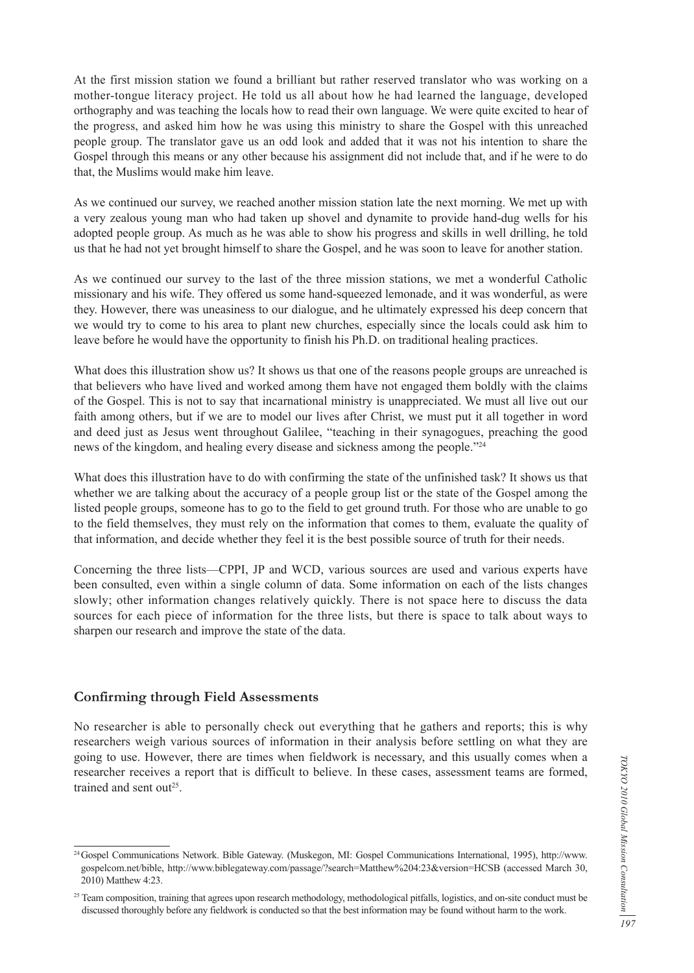At the first mission station we found a brilliant but rather reserved translator who was working on a mother-tongue literacy project. He told us all about how he had learned the language, developed orthography and was teaching the locals how to read their own language. We were quite excited to hear of the progress, and asked him how he was using this ministry to share the Gospel with this unreached people group. The translator gave us an odd look and added that it was not his intention to share the Gospel through this means or any other because his assignment did not include that, and if he were to do that, the Muslims would make him leave.

As we continued our survey, we reached another mission station late the next morning. We met up with a very zealous young man who had taken up shovel and dynamite to provide hand-dug wells for his adopted people group. As much as he was able to show his progress and skills in well drilling, he told us that he had not yet brought himself to share the Gospel, and he was soon to leave for another station.

As we continued our survey to the last of the three mission stations, we met a wonderful Catholic missionary and his wife. They offered us some hand-squeezed lemonade, and it was wonderful, as were they. However, there was uneasiness to our dialogue, and he ultimately expressed his deep concern that we would try to come to his area to plant new churches, especially since the locals could ask him to leave before he would have the opportunity to finish his Ph.D. on traditional healing practices.

What does this illustration show us? It shows us that one of the reasons people groups are unreached is that believers who have lived and worked among them have not engaged them boldly with the claims of the Gospel. This is not to say that incarnational ministry is unappreciated. We must all live out our faith among others, but if we are to model our lives after Christ, we must put it all together in word and deed just as Jesus went throughout Galilee, "teaching in their synagogues, preaching the good news of the kingdom, and healing every disease and sickness among the people."24

What does this illustration have to do with confirming the state of the unfinished task? It shows us that whether we are talking about the accuracy of a people group list or the state of the Gospel among the listed people groups, someone has to go to the field to get ground truth. For those who are unable to go to the field themselves, they must rely on the information that comes to them, evaluate the quality of that information, and decide whether they feel it is the best possible source of truth for their needs.

Concerning the three lists—CPPI, JP and WCD, various sources are used and various experts have been consulted, even within a single column of data. Some information on each of the lists changes slowly; other information changes relatively quickly. There is not space here to discuss the data sources for each piece of information for the three lists, but there is space to talk about ways to sharpen our research and improve the state of the data.

#### **Confirming through Field Assessments**

No researcher is able to personally check out everything that he gathers and reports; this is why researchers weigh various sources of information in their analysis before settling on what they are going to use. However, there are times when fieldwork is necessary, and this usually comes when a researcher receives a report that is difficult to believe. In these cases, assessment teams are formed, trained and sent out<sup>25</sup>.

<sup>24</sup> Gospel Communications Network. Bible Gateway. (Muskegon, MI: Gospel Communications International, 1995), http://www. gospelcom.net/bible, http://www.biblegateway.com/passage/?search=Matthew%204:23&version=HCSB (accessed March 30, 2010) Matthew 4:23.

<sup>&</sup>lt;sup>25</sup> Team composition, training that agrees upon research methodology, methodological pitfalls, logistics, and on-site conduct must be discussed thoroughly before any fieldwork is conducted so that the best information may be found without harm to the work.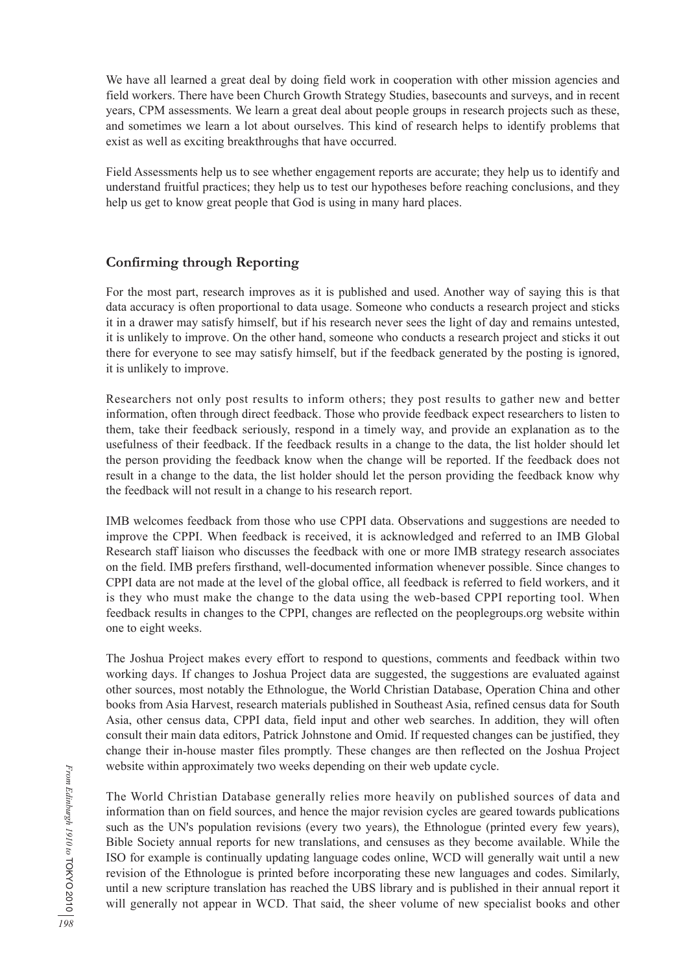We have all learned a great deal by doing field work in cooperation with other mission agencies and field workers. There have been Church Growth Strategy Studies, basecounts and surveys, and in recent years, CPM assessments. We learn a great deal about people groups in research projects such as these, and sometimes we learn a lot about ourselves. This kind of research helps to identify problems that exist as well as exciting breakthroughs that have occurred.

Field Assessments help us to see whether engagement reports are accurate; they help us to identify and understand fruitful practices; they help us to test our hypotheses before reaching conclusions, and they help us get to know great people that God is using in many hard places.

## **Confirming through Reporting**

For the most part, research improves as it is published and used. Another way of saying this is that data accuracy is often proportional to data usage. Someone who conducts a research project and sticks it in a drawer may satisfy himself, but if his research never sees the light of day and remains untested, it is unlikely to improve. On the other hand, someone who conducts a research project and sticks it out there for everyone to see may satisfy himself, but if the feedback generated by the posting is ignored, it is unlikely to improve.

Researchers not only post results to inform others; they post results to gather new and better information, often through direct feedback. Those who provide feedback expect researchers to listen to them, take their feedback seriously, respond in a timely way, and provide an explanation as to the usefulness of their feedback. If the feedback results in a change to the data, the list holder should let the person providing the feedback know when the change will be reported. If the feedback does not result in a change to the data, the list holder should let the person providing the feedback know why the feedback will not result in a change to his research report.

IMB welcomes feedback from those who use CPPI data. Observations and suggestions are needed to improve the CPPI. When feedback is received, it is acknowledged and referred to an IMB Global Research staff liaison who discusses the feedback with one or more IMB strategy research associates on the field. IMB prefers firsthand, well-documented information whenever possible. Since changes to CPPI data are not made at the level of the global office, all feedback is referred to field workers, and it is they who must make the change to the data using the web-based CPPI reporting tool. When feedback results in changes to the CPPI, changes are reflected on the peoplegroups.org website within one to eight weeks.

The Joshua Project makes every effort to respond to questions, comments and feedback within two working days. If changes to Joshua Project data are suggested, the suggestions are evaluated against other sources, most notably the Ethnologue, the World Christian Database, Operation China and other books from Asia Harvest, research materials published in Southeast Asia, refined census data for South Asia, other census data, CPPI data, field input and other web searches. In addition, they will often consult their main data editors, Patrick Johnstone and Omid. If requested changes can be justified, they change their in-house master files promptly. These changes are then reflected on the Joshua Project website within approximately two weeks depending on their web update cycle.

The World Christian Database generally relies more heavily on published sources of data and information than on field sources, and hence the major revision cycles are geared towards publications such as the UN's population revisions (every two years), the Ethnologue (printed every few years), Bible Society annual reports for new translations, and censuses as they become available. While the ISO for example is continually updating language codes online, WCD will generally wait until a new revision of the Ethnologue is printed before incorporating these new languages and codes. Similarly, until a new scripture translation has reached the UBS library and is published in their annual report it will generally not appear in WCD. That said, the sheer volume of new specialist books and other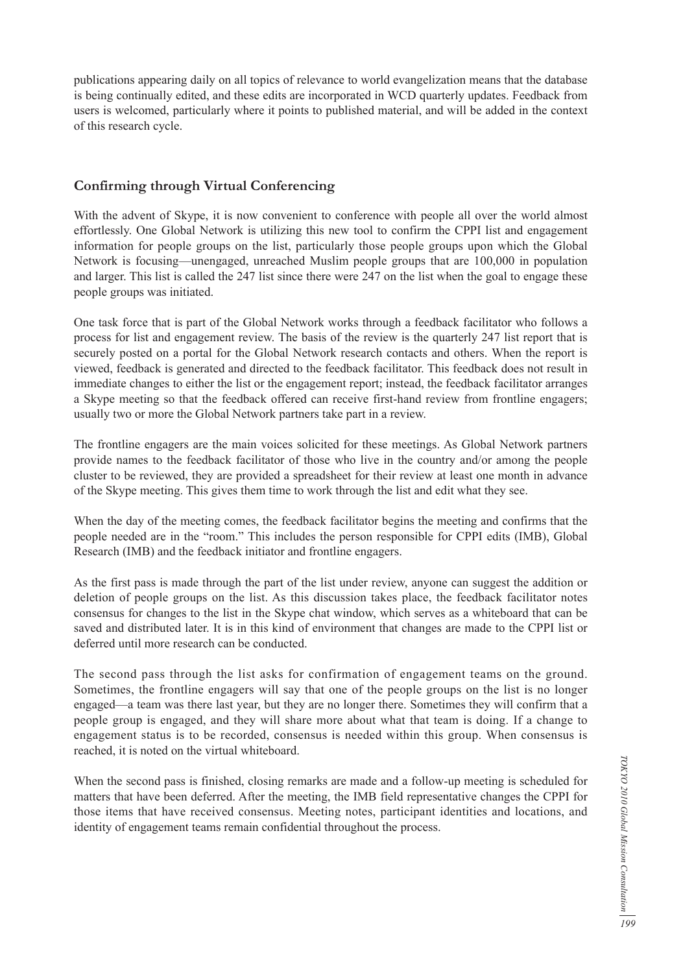publications appearing daily on all topics of relevance to world evangelization means that the database is being continually edited, and these edits are incorporated in WCD quarterly updates. Feedback from users is welcomed, particularly where it points to published material, and will be added in the context of this research cycle.

#### **Confirming through Virtual Conferencing**

With the advent of Skype, it is now convenient to conference with people all over the world almost effortlessly. One Global Network is utilizing this new tool to confirm the CPPI list and engagement information for people groups on the list, particularly those people groups upon which the Global Network is focusing—unengaged, unreached Muslim people groups that are 100,000 in population and larger. This list is called the 247 list since there were 247 on the list when the goal to engage these people groups was initiated.

One task force that is part of the Global Network works through a feedback facilitator who follows a process for list and engagement review. The basis of the review is the quarterly 247 list report that is securely posted on a portal for the Global Network research contacts and others. When the report is viewed, feedback is generated and directed to the feedback facilitator. This feedback does not result in immediate changes to either the list or the engagement report; instead, the feedback facilitator arranges a Skype meeting so that the feedback offered can receive first-hand review from frontline engagers; usually two or more the Global Network partners take part in a review.

The frontline engagers are the main voices solicited for these meetings. As Global Network partners provide names to the feedback facilitator of those who live in the country and/or among the people cluster to be reviewed, they are provided a spreadsheet for their review at least one month in advance of the Skype meeting. This gives them time to work through the list and edit what they see.

When the day of the meeting comes, the feedback facilitator begins the meeting and confirms that the people needed are in the "room." This includes the person responsible for CPPI edits (IMB), Global Research (IMB) and the feedback initiator and frontline engagers.

As the first pass is made through the part of the list under review, anyone can suggest the addition or deletion of people groups on the list. As this discussion takes place, the feedback facilitator notes consensus for changes to the list in the Skype chat window, which serves as a whiteboard that can be saved and distributed later. It is in this kind of environment that changes are made to the CPPI list or deferred until more research can be conducted.

The second pass through the list asks for confirmation of engagement teams on the ground. Sometimes, the frontline engagers will say that one of the people groups on the list is no longer engaged—a team was there last year, but they are no longer there. Sometimes they will confirm that a people group is engaged, and they will share more about what that team is doing. If a change to engagement status is to be recorded, consensus is needed within this group. When consensus is reached, it is noted on the virtual whiteboard.

When the second pass is finished, closing remarks are made and a follow-up meeting is scheduled for matters that have been deferred. After the meeting, the IMB field representative changes the CPPI for those items that have received consensus. Meeting notes, participant identities and locations, and identity of engagement teams remain confidential throughout the process.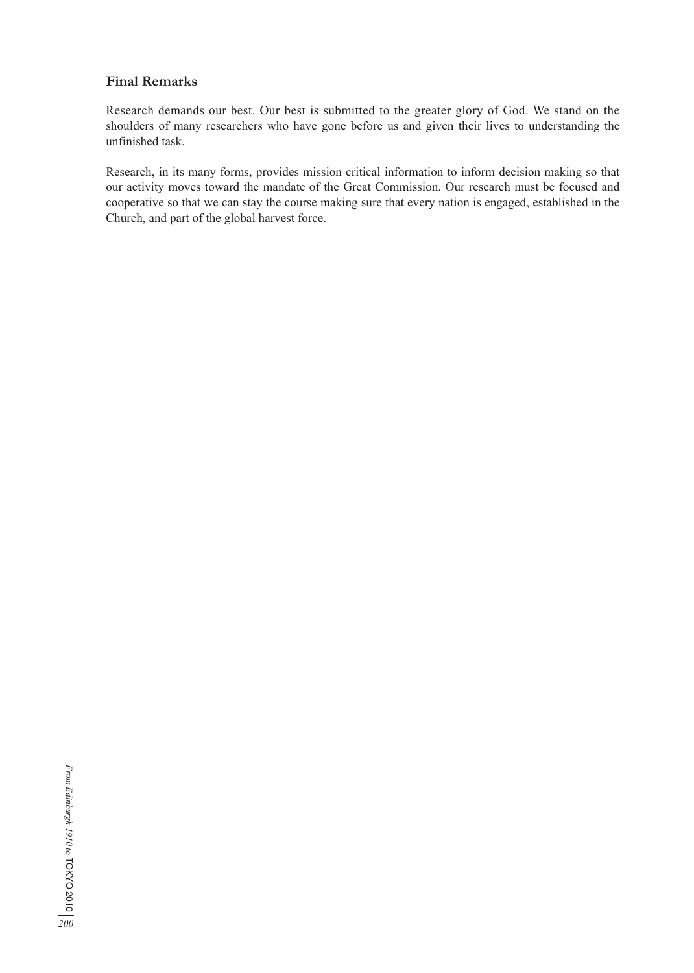## **Final Remarks**

Research demands our best. Our best is submitted to the greater glory of God. We stand on the shoulders of many researchers who have gone before us and given their lives to understanding the unfinished task.

Research, in its many forms, provides mission critical information to inform decision making so that our activity moves toward the mandate of the Great Commission. Our research must be focused and cooperative so that we can stay the course making sure that every nation is engaged, established in the Church, and part of the global harvest force.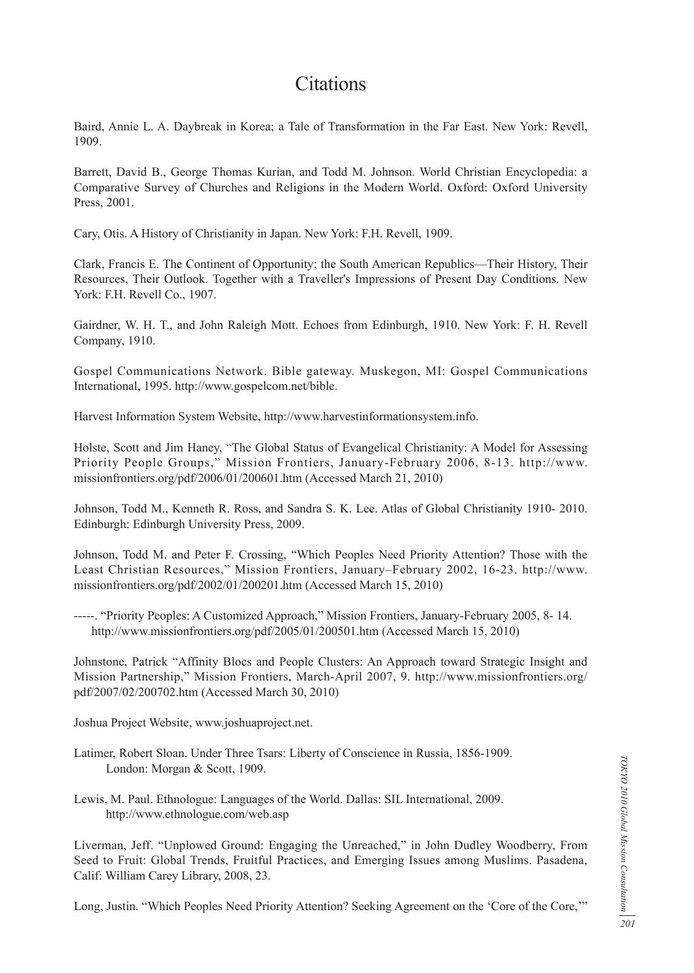## **Citations**

Baird, Annie L. A. Daybreak in Korea; a Tale of Transformation in the Far East. New York: Revell, 1909.

Barrett, David B., George Thomas Kurian, and Todd M. Johnson. World Christian Encyclopedia: a Comparative Survey of Churches and Religions in the Modern World. Oxford: Oxford University Press, 2001.

Cary, Otis. A History of Christianity in Japan. New York: F.H. Revell, 1909.

Clark, Francis E. The Continent of Opportunity; the South American Republics—Their History, Their Resources, Their Outlook. Together with a Traveller's Impressions of Present Day Conditions. New York: F.H. Revell Co., 1907.

Gairdner, W. H. T., and John Raleigh Mott. Echoes from Edinburgh, 1910. New York: F. H. Revell Company, 1910.

Gospel Communications Network. Bible gateway. Muskegon, MI: Gospel Communications International, 1995. http://www.gospelcom.net/bible.

Harvest Information System Website, http://www.harvestinformationsystem.info.

Holste, Scott and Jim Haney, "The Global Status of Evangelical Christianity: A Model for Assessing Priority People Groups," Mission Frontiers, January-February 2006, 8-13. http://www. missionfrontiers.org/pdf/2006/01/200601.htm (Accessed March 21, 2010)

Johnson, Todd M., Kenneth R. Ross, and Sandra S. K. Lee. Atlas of Global Christianity 1910- 2010. Edinburgh: Edinburgh University Press, 2009.

Johnson, Todd M. and Peter F. Crossing, "Which Peoples Need Priority Attention? Those with the Least Christian Resources," Mission Frontiers, January–February 2002, 16-23. http://www. missionfrontiers.org/pdf/2002/01/200201.htm (Accessed March 15, 2010)

-----. "Priority Peoples: A Customized Approach," Mission Frontiers, January-February 2005, 8- 14. http://www.missionfrontiers.org/pdf/2005/01/200501.htm (Accessed March 15, 2010)

Johnstone, Patrick "Affinity Blocs and People Clusters: An Approach toward Strategic Insight and Mission Partnership," Mission Frontiers, March-April 2007, 9. http://www.missionfrontiers.org/ pdf/2007/02/200702.htm (Accessed March 30, 2010)

Joshua Project Website, www.joshuaproject.net.

- Latimer, Robert Sloan. Under Three Tsars: Liberty of Conscience in Russia, 1856-1909. London: Morgan & Scott, 1909.
- Lewis, M. Paul. Ethnologue: Languages of the World. Dallas: SIL International, 2009. http://www.ethnologue.com/web.asp

Liverman, Jeff. "Unplowed Ground: Engaging the Unreached," in John Dudley Woodberry, From Seed to Fruit: Global Trends, Fruitful Practices, and Emerging Issues among Muslims. Pasadena, Calif: William Carey Library, 2008, 23.

Long, Justin. "Which Peoples Need Priority Attention? Seeking Agreement on the 'Core of the Core,'"